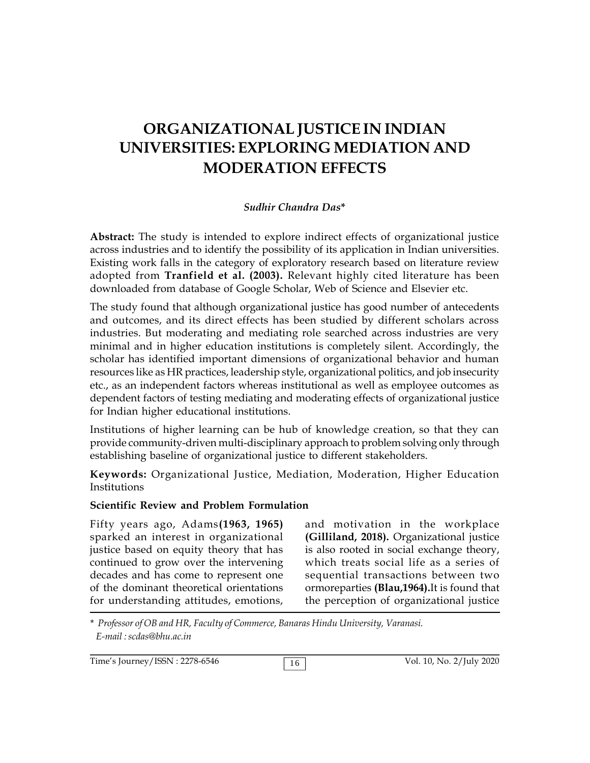# **ORGANIZATIONAL JUSTICE IN INDIAN UNIVERSITIES: EXPLORING MEDIATION AND MODERATION EFFECTS**

## *Sudhir Chandra Das***\***

**Abstract:** The study is intended to explore indirect effects of organizational justice across industries and to identify the possibility of its application in Indian universities. Existing work falls in the category of exploratory research based on literature review adopted from **Tranfield et al. (2003).** Relevant highly cited literature has been downloaded from database of Google Scholar, Web of Science and Elsevier etc.

The study found that although organizational justice has good number of antecedents and outcomes, and its direct effects has been studied by different scholars across industries. But moderating and mediating role searched across industries are very minimal and in higher education institutions is completely silent. Accordingly, the scholar has identified important dimensions of organizational behavior and human resources like as HR practices, leadership style, organizational politics, and job insecurity etc., as an independent factors whereas institutional as well as employee outcomes as dependent factors of testing mediating and moderating effects of organizational justice for Indian higher educational institutions.

Institutions of higher learning can be hub of knowledge creation, so that they can provide community-driven multi-disciplinary approach to problem solving only through establishing baseline of organizational justice to different stakeholders.

**Keywords:** Organizational Justice, Mediation, Moderation, Higher Education Institutions

#### **Scientific Review and Problem Formulation**

Fifty years ago, Adams**(1963, 1965)** sparked an interest in organizational justice based on equity theory that has continued to grow over the intervening decades and has come to represent one of the dominant theoretical orientations for understanding attitudes, emotions,

and motivation in the workplace **(Gilliland, 2018).** Organizational justice is also rooted in social exchange theory, which treats social life as a series of sequential transactions between two ormoreparties **(Blau,1964).**It is found that the perception of organizational justice

\* *Professor of OB and HR, Faculty of Commerce, Banaras Hindu University, Varanasi. E-mail : scdas@bhu.ac.in*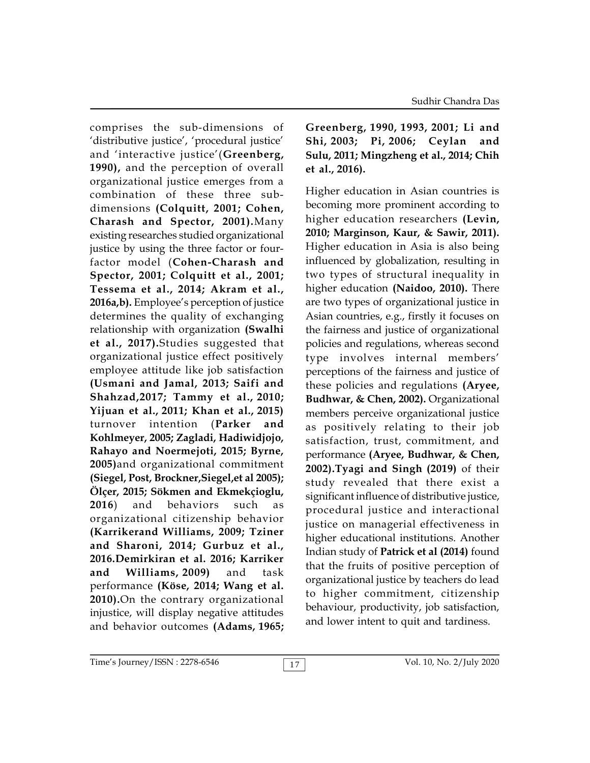comprises the sub-dimensions of 'distributive justice', 'procedural justice' and 'interactive justice'(**Greenberg, 1990),** and the perception of overall organizational justice emerges from a combination of these three subdimensions **(Colquitt, 2001; Cohen, Charash and Spector, 2001).**Many existing researches studied organizational justice by using the three factor or fourfactor model (**Cohen-Charash and Spector, 2001; Colquitt et al., 2001; Tessema et al., 2014; Akram et al., 2016a,b).** Employee's perception of justice determines the quality of exchanging relationship with organization **(Swalhi et al., 2017).**Studies suggested that organizational justice effect positively employee attitude like job satisfaction **(Usmani and Jamal, 2013; Saifi and Shahzad,2017; Tammy et al., 2010; Yijuan et al., 2011; Khan et al., 2015)** turnover intention (**Parker and Kohlmeyer, 2005; Zagladi, Hadiwidjojo, Rahayo and Noermejoti, 2015; Byrne, 2005)**and organizational commitment **(Siegel, Post, Brockner,Siegel,et al 2005); Ölçer, 2015; Sökmen and Ekmekçioglu, 2016**) and behaviors such as organizational citizenship behavior **(Karrikerand Williams, 2009; Tziner and Sharoni, 2014; Gurbuz et al., 2016.Demirkiran et al. 2016; Karriker and Williams, 2009)** and task performance **(Köse, 2014; Wang et al. 2010).**On the contrary organizational injustice, will display negative attitudes and behavior outcomes **(Adams, 1965;**

**Greenberg, 1990, 1993, 2001; Li and Shi, 2003; Pi, 2006; Ceylan and Sulu, 2011; Mingzheng et al., 2014; Chih et al., 2016).** 

Higher education in Asian countries is becoming more prominent according to higher education researchers **(Levin, 2010; Marginson, Kaur, & Sawir, 2011).** Higher education in Asia is also being influenced by globalization, resulting in two types of structural inequality in higher education **(Naidoo, 2010).** There are two types of organizational justice in Asian countries, e.g., firstly it focuses on the fairness and justice of organizational policies and regulations, whereas second type involves internal members' perceptions of the fairness and justice of these policies and regulations **(Aryee, Budhwar, & Chen, 2002).** Organizational members perceive organizational justice as positively relating to their job satisfaction, trust, commitment, and performance **(Aryee, Budhwar, & Chen, 2002).Tyagi and Singh (2019)** of their study revealed that there exist a significant influence of distributive justice, procedural justice and interactional justice on managerial effectiveness in higher educational institutions. Another Indian study of **Patrick et al (2014)** found that the fruits of positive perception of organizational justice by teachers do lead to higher commitment, citizenship behaviour, productivity, job satisfaction, and lower intent to quit and tardiness.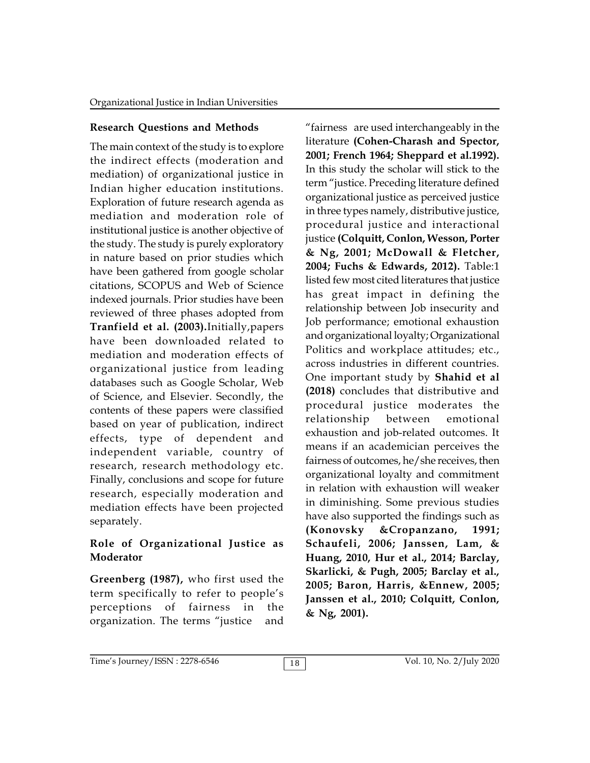# **Research Questions and Methods**

The main context of the study is to explore the indirect effects (moderation and mediation) of organizational justice in Indian higher education institutions. Exploration of future research agenda as mediation and moderation role of institutional justice is another objective of the study. The study is purely exploratory in nature based on prior studies which have been gathered from google scholar citations, SCOPUS and Web of Science indexed journals. Prior studies have been reviewed of three phases adopted from **Tranfield et al. (2003).**Initially,papers have been downloaded related to mediation and moderation effects of organizational justice from leading databases such as Google Scholar, Web of Science, and Elsevier. Secondly, the contents of these papers were classified based on year of publication, indirect effects, type of dependent and independent variable, country of research, research methodology etc. Finally, conclusions and scope for future research, especially moderation and mediation effects have been projected separately.

# **Role of Organizational Justice as Moderator**

**Greenberg (1987),** who first used the term specifically to refer to people's perceptions of fairness in the organization. The terms "justice and

"fairness are used interchangeably in the literature **(Cohen-Charash and Spector, 2001; French 1964; Sheppard et al.1992).** In this study the scholar will stick to the term "justice. Preceding literature defined organizational justice as perceived justice in three types namely, distributive justice, procedural justice and interactional justice **(Colquitt, Conlon, Wesson, Porter & Ng, 2001; McDowall & Fletcher, 2004; Fuchs & Edwards, 2012).** Table:1 listed few most cited literatures that justice has great impact in defining the relationship between Job insecurity and Job performance; emotional exhaustion and organizational loyalty; Organizational Politics and workplace attitudes; etc., across industries in different countries. One important study by **Shahid et al (2018)** concludes that distributive and procedural justice moderates the relationship between emotional exhaustion and job-related outcomes. It means if an academician perceives the fairness of outcomes, he/she receives, then organizational loyalty and commitment in relation with exhaustion will weaker in diminishing. Some previous studies have also supported the findings such as **(Konovsky &Cropanzano, 1991; Schaufeli, 2006; Janssen, Lam, & Huang, 2010, Hur et al., 2014; Barclay, Skarlicki, & Pugh, 2005; Barclay et al., 2005; Baron, Harris, &Ennew, 2005; Janssen et al., 2010; Colquitt, Conlon, & Ng, 2001).**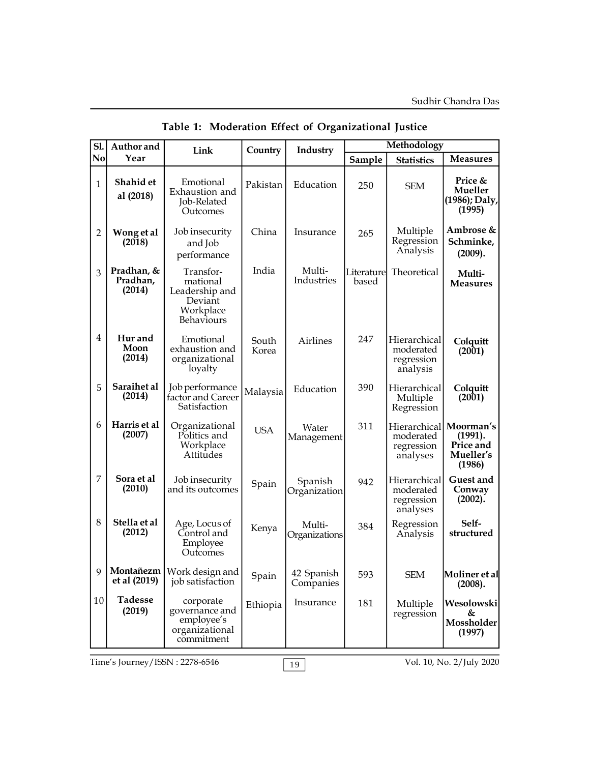| Sl.            | Author and                       | Link                                                                          | Country        | Industry                | Methodology         |                                                     |                                                          |
|----------------|----------------------------------|-------------------------------------------------------------------------------|----------------|-------------------------|---------------------|-----------------------------------------------------|----------------------------------------------------------|
| No             | Year                             |                                                                               |                |                         | Sample              | <b>Statistics</b>                                   | <b>Measures</b>                                          |
| 1              | Shahid et<br>al (2018)           | Emotional<br>Exhaustion and<br>Job-Related<br>Outcomes                        | Pakistan       | Education               | 250                 | <b>SEM</b>                                          | Price &<br>Mueller<br>(1986); Daly,<br>(1995)            |
| $\overline{c}$ | Wong et al<br>(2018)             | Job insecurity<br>and Job<br>performance                                      | China          | Insurance               | 265                 | Multiple<br>Regression<br>Analysis                  | Ambrose &<br>Schminke,<br>(2009).                        |
| 3              | Pradhan, &<br>Pradhan,<br>(2014) | Transfor-<br>mational<br>Leadership and<br>Deviant<br>Workplace<br>Behaviours | India          | Multi-<br>Industries    | Literature<br>based | Theoretical                                         | Multi-<br><b>Measures</b>                                |
| 4              | Hur and<br>Moon<br>(2014)        | Emotional<br>exhaustion and<br>organizational<br>loyalty                      | South<br>Korea | <b>Airlines</b>         | 247                 | Hierarchical<br>moderated<br>regression<br>analysis | Colquitt<br>(2001)                                       |
| 5              | Saraihet al<br>(2014)            | Job performance<br>factor and Career<br>Satisfaction                          | Malaysia       | Education               | 390                 | Hierarchical<br>Multiple<br>Regression              | Colquitt<br>(2001)                                       |
| 6              | Harris et al<br>(2007)           | Organizational<br>Politics and<br>Workplace<br>Attitudes                      | <b>USA</b>     | Water<br>Management     | 311                 | Hierarchical<br>moderated<br>regression<br>analyses | Moorman's<br>(1991).<br>Price and<br>Mueller's<br>(1986) |
| 7              | Sora et al<br>(2010)             | Job insecurity<br>and its outcomes                                            | Spain          | Spanish<br>Organization | 942                 | Hierarchical<br>moderated<br>regression<br>analyses | Guest and<br>Conway<br>(2002).                           |
| 8              | Stella et al<br>(2012)           | Age, Locus of<br>Control and<br>Employee<br>Outcomes                          | Kenya          | Multi-<br>Organizations | 384                 | Regression<br>Analysis                              | Self-<br>structured                                      |
| 9              | et al (2019)                     | Montañezm   Work design and<br>job satisfaction                               | Spain          | 42 Spanish<br>Companies | 593                 | <b>SEM</b>                                          | Moliner et al<br>(2008).                                 |
| 10             | <b>Tadesse</b><br>(2019)         | corporate<br>governance and<br>employee's<br>organizational<br>commitment     | Ethiopia       | Insurance               | 181                 | Multiple<br>regression                              | Wesolowski<br>&<br>Mossholder<br>(1997)                  |

# **Table 1: Moderation Effect of Organizational Justice**

19 Time's Journey/ISSN : 2278-6546 Vol. 10, No. 2/July 2020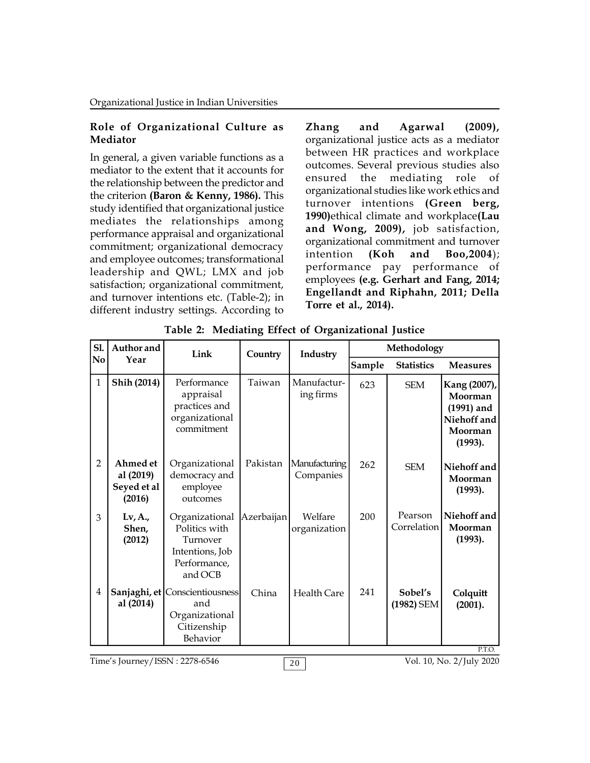### **Role of Organizational Culture as Mediator**

In general, a given variable functions as a mediator to the extent that it accounts for the relationship between the predictor and the criterion **(Baron & Kenny, 1986).** This study identified that organizational justice mediates the relationships among performance appraisal and organizational commitment; organizational democracy organization and employee outcomes; transformational leadership and QWL; LMX and job satisfaction; organizational commitment, and turnover intentions etc. (Table-2); in different industry settings. According to

**Zhang and Agarwal (2009),** organizational justice acts as a mediator between HR practices and workplace outcomes. Several previous studies also ensured the mediating role of organizational studies like work ethics and turnover intentions **(Green berg, 1990)**ethical climate and workplace**(Lau and Wong, 2009),** job satisfaction, organizational commitment and turnover  $(Koh$  and  $Boo, 2004)$ ; performance pay performance of employees **(e.g. Gerhart and Fang, 2014; Engellandt and Riphahn, 2011; Della Torre et al., 2014).**

| Sl.            | Author and<br>Year                             | Link                                                                                      | Country    | Industry                   | Methodology |                        |                                                                              |
|----------------|------------------------------------------------|-------------------------------------------------------------------------------------------|------------|----------------------------|-------------|------------------------|------------------------------------------------------------------------------|
| No             |                                                |                                                                                           |            |                            | Sample      | <b>Statistics</b>      | <b>Measures</b>                                                              |
| $\mathbf{1}$   | Shih (2014)                                    | Performance<br>appraisal<br>practices and<br>organizational<br>commitment                 | Taiwan     | Manufactur-<br>ing firms   | 623         | <b>SEM</b>             | Kang (2007),<br>Moorman<br>$(1991)$ and<br>Niehoff and<br>Moorman<br>(1993). |
| $\overline{2}$ | Ahmed et<br>al (2019)<br>Seyed et al<br>(2016) | Organizational<br>democracy and<br>employee<br>outcomes                                   | Pakistan   | Manufacturing<br>Companies | 262         | <b>SEM</b>             | Niehoff and<br>Moorman<br>(1993).                                            |
| 3              | Lv, A.,<br>Shen,<br>(2012)                     | Organizational<br>Politics with<br>Turnover<br>Intentions, Job<br>Performance,<br>and OCB | Azerbaijan | Welfare<br>organization    | 200         | Pearson<br>Correlation | Niehoff and<br>Moorman<br>(1993).                                            |
| 4              | al (2014)                                      | Sanjaghi, et Conscientiousness<br>and<br>Organizational<br>Citizenship<br>Behavior        | China      | Health Care                | 241         | Sobel's<br>(1982) SEM  | Colquitt<br>(2001).                                                          |

**Table 2: Mediating Effect of Organizational Justice**

Time's Journey/ISSN : 2278-6546 20 20 Vol. 10, No. 2/July 2020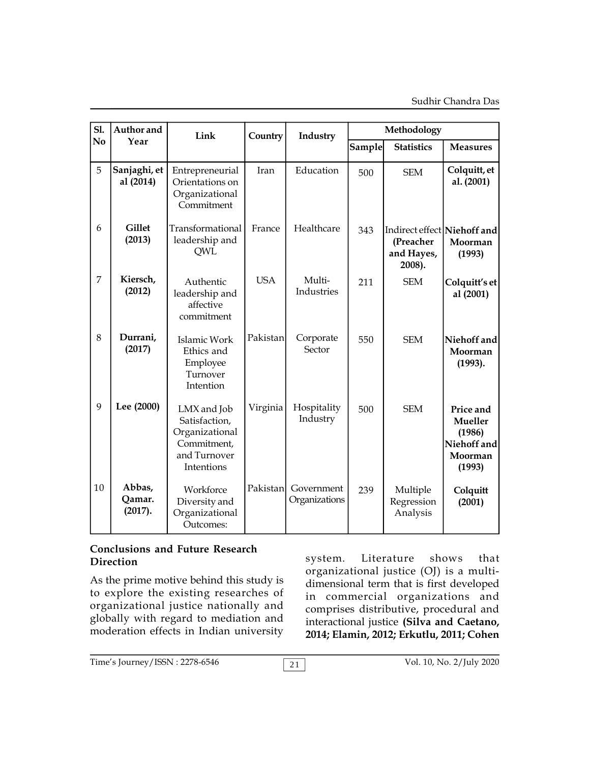| S1.<br>N <sub>0</sub> | Author and<br>Year          | Link                                                                                        | Country    | Industry                    | Methodology |                                                                  |                                                                           |
|-----------------------|-----------------------------|---------------------------------------------------------------------------------------------|------------|-----------------------------|-------------|------------------------------------------------------------------|---------------------------------------------------------------------------|
|                       |                             |                                                                                             |            |                             | Sample      | <b>Statistics</b>                                                | <b>Measures</b>                                                           |
| 5                     | Sanjaghi, et<br>al (2014)   | Entrepreneurial<br>Orientations on<br>Organizational<br>Commitment                          | Iran       | Education                   | 500         | <b>SEM</b>                                                       | Colquitt, et<br>al. (2001)                                                |
| 6                     | <b>Gillet</b><br>(2013)     | Transformational<br>leadership and<br>QWL                                                   | France     | Healthcare                  | 343         | Indirect effect Niehoff and<br>(Preacher<br>and Hayes,<br>2008). | Moorman<br>(1993)                                                         |
| 7                     | Kiersch,<br>(2012)          | Authentic<br>leadership and<br>affective<br>commitment                                      | <b>USA</b> | Multi-<br>Industries        | 211         | <b>SEM</b>                                                       | Colquitt's et<br>al (2001)                                                |
| 8                     | Durrani,<br>(2017)          | Islamic Work<br>Ethics and<br>Employee<br>Turnover<br>Intention                             | Pakistan   | Corporate<br>Sector         | 550         | <b>SEM</b>                                                       | Niehoff and<br>Moorman<br>(1993).                                         |
| 9                     | Lee (2000)                  | LMX and Job<br>Satisfaction,<br>Organizational<br>Commitment,<br>and Turnover<br>Intentions | Virginia   | Hospitality<br>Industry     | 500         | <b>SEM</b>                                                       | Price and<br><b>Mueller</b><br>(1986)<br>Niehoff and<br>Moorman<br>(1993) |
| 10                    | Abbas,<br>Qamar.<br>(2017). | Workforce<br>Diversity and<br>Organizational<br>Outcomes:                                   | Pakistan   | Government<br>Organizations | 239         | Multiple<br>Regression<br>Analysis                               | Colquitt<br>(2001)                                                        |

# **Conclusions and Future Research Direction**

As the prime motive behind this study is to explore the existing researches of organizational justice nationally and globally with regard to mediation and moderation effects in Indian university

Literature shows that organizational justice (OJ) is a multidimensional term that is first developed in commercial organizations and comprises distributive, procedural and interactional justice **(Silva and Caetano, 2014; Elamin, 2012; Erkutlu, 2011; Cohen**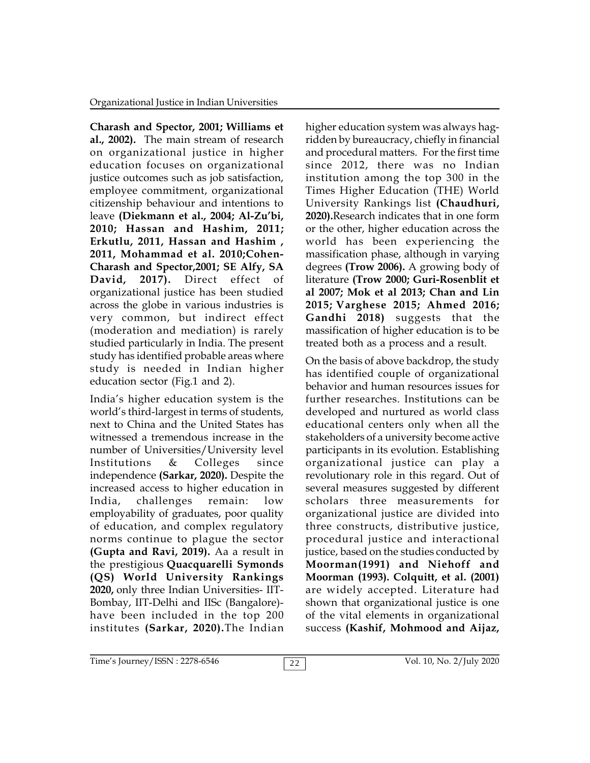**Charash and Spector, 2001; Williams et al., 2002).** The main stream of research on organizational justice in higher education focuses on organizational justice outcomes such as job satisfaction, employee commitment, organizational citizenship behaviour and intentions to leave **(Diekmann et al., 2004; Al-Zu'bi, 2010; Hassan and Hashim, 2011; Erkutlu, 2011, Hassan and Hashim , 2011, Mohammad et al. 2010;Cohen-Charash and Spector,2001; SE Alfy, SA David, 2017).** Direct effect of organizational justice has been studied across the globe in various industries is very common, but indirect effect (moderation and mediation) is rarely studied particularly in India. The present study has identified probable areas where study is needed in Indian higher education sector (Fig.1 and 2).

India's higher education system is the world's third-largest in terms of students, next to China and the United States has witnessed a tremendous increase in the number of Universities/University level Institutions & Colleges since independence **(Sarkar, 2020).** Despite the increased access to higher education in India, challenges remain: low employability of graduates, poor quality of education, and complex regulatory norms continue to plague the sector **(Gupta and Ravi, 2019).** Aa a result in the prestigious **Quacquarelli Symonds (QS) World University Rankings 2020,** only three Indian Universities- IIT-Bombay, IIT-Delhi and IISc (Bangalore) have been included in the top 200 institutes **(Sarkar, 2020).**The Indian

higher education system was always hagridden by bureaucracy, chiefly in financial and procedural matters. For the first time since 2012, there was no Indian institution among the top 300 in the Times Higher Education (THE) World University Rankings list **(Chaudhuri, 2020).**Research indicates that in one form or the other, higher education across the world has been experiencing the massification phase, although in varying degrees **(Trow 2006).** A growing body of literature **(Trow 2000; Guri-Rosenblit et al 2007; Mok et al 2013; Chan and Lin 2015; Varghese 2015; Ahmed 2016; Gandhi 2018)** suggests that the massification of higher education is to be treated both as a process and a result.

On the basis of above backdrop, the study has identified couple of organizational behavior and human resources issues for further researches. Institutions can be developed and nurtured as world class educational centers only when all the stakeholders of a university become active participants in its evolution. Establishing organizational justice can play a revolutionary role in this regard. Out of several measures suggested by different scholars three measurements for organizational justice are divided into three constructs, distributive justice, procedural justice and interactional justice, based on the studies conducted by **Moorman(1991) and Niehoff and Moorman (1993). Colquitt, et al. (2001)** are widely accepted. Literature had shown that organizational justice is one of the vital elements in organizational success **(Kashif, Mohmood and Aijaz,**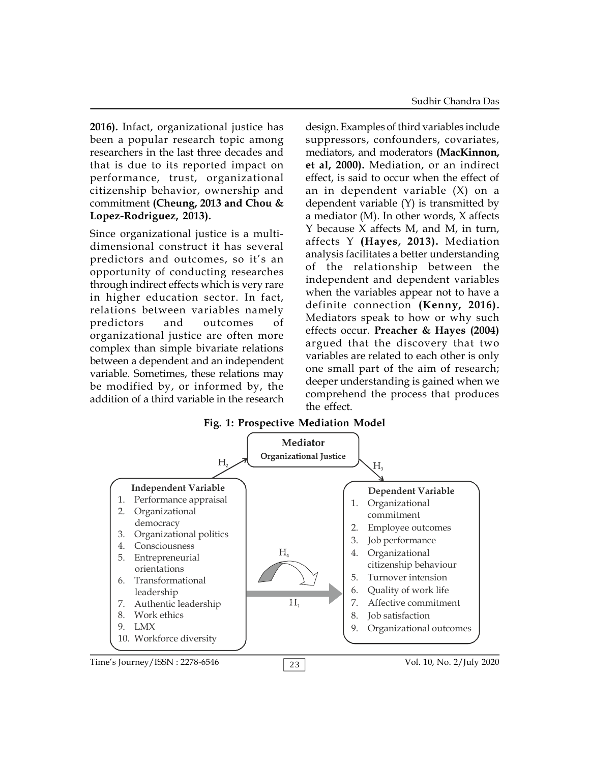**2016).** Infact, organizational justice has been a popular research topic among researchers in the last three decades and that is due to its reported impact on performance, trust, organizational citizenship behavior, ownership and commitment **(Cheung, 2013 and Chou & Lopez-Rodriguez, 2013).**

Since organizational justice is a multidimensional construct it has several predictors and outcomes, so it's an opportunity of conducting researches through indirect effects which is very rare in higher education sector. In fact, relations between variables namely predictors and outcomes of organizational justice are often more complex than simple bivariate relations between a dependent and an independent variable. Sometimes, these relations may be modified by, or informed by, the addition of a third variable in the research

design. Examples of third variables include suppressors, confounders, covariates, mediators, and moderators **(MacKinnon, et al, 2000).** Mediation, or an indirect effect, is said to occur when the effect of an in dependent variable (X) on a dependent variable (Y) is transmitted by a mediator (M). In other words, X affects Y because X affects M, and M, in turn, affects Y **(Hayes, 2013).** Mediation analysis facilitates a better understanding of the relationship between the independent and dependent variables when the variables appear not to have a definite connection **(Kenny, 2016).** Mediators speak to how or why such effects occur. **Preacher & Hayes (2004)** argued that the discovery that two variables are related to each other is only one small part of the aim of research; deeper understanding is gained when we comprehend the process that produces the effect.



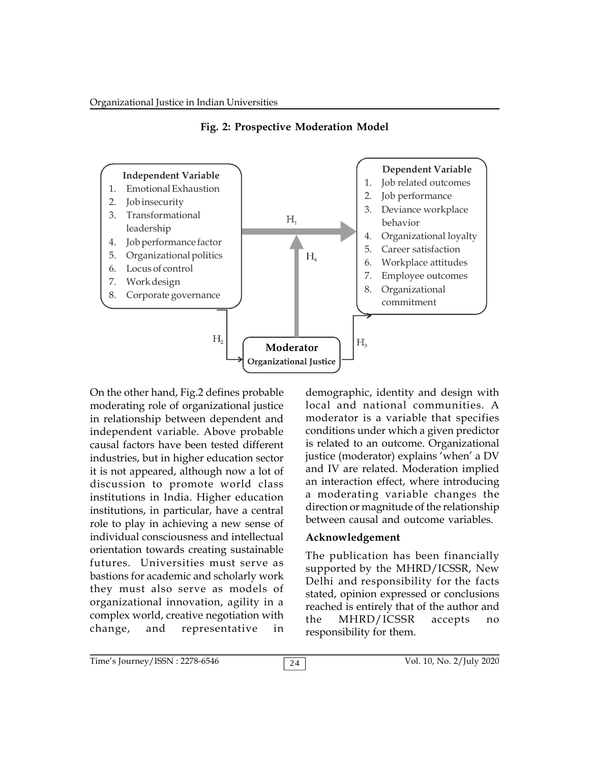



On the other hand, Fig.2 defines probable moderating role of organizational justice in relationship between dependent and independent variable. Above probable causal factors have been tested different industries, but in higher education sector it is not appeared, although now a lot of discussion to promote world class institutions in India. Higher education institutions, in particular, have a central role to play in achieving a new sense of individual consciousness and intellectual orientation towards creating sustainable futures. Universities must serve as bastions for academic and scholarly work they must also serve as models of organizational innovation, agility in a complex world, creative negotiation with  $\frac{1}{10}$ change, and representative in

demographic, identity and design with local and national communities. A moderator is a variable that specifies conditions under which a given predictor is related to an outcome. Organizational justice (moderator) explains 'when' a DV and IV are related. Moderation implied an interaction effect, where introducing a moderating variable changes the direction or magnitude of the relationship between causal and outcome variables.

# **Acknowledgement**

The publication has been financially supported by the MHRD/ICSSR, New Delhi and responsibility for the facts stated, opinion expressed or conclusions reached is entirely that of the author and MHRD/ICSSR accepts no responsibility for them.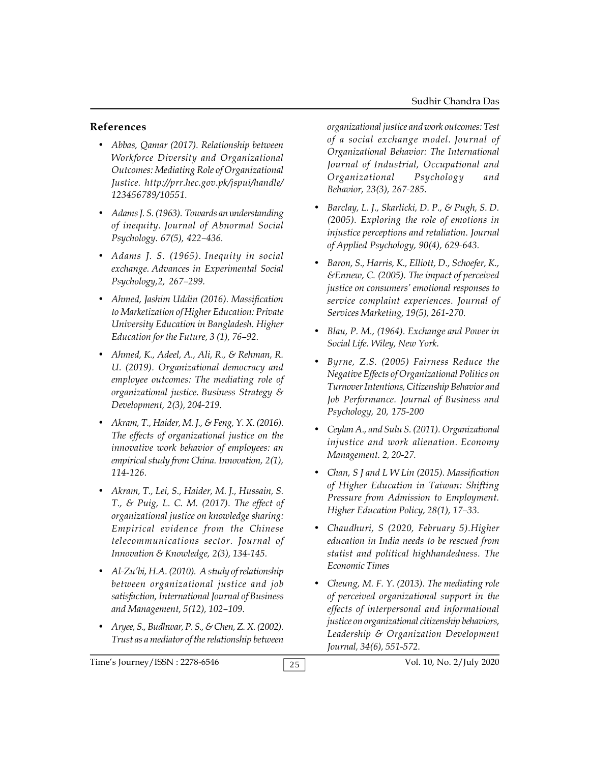#### **References**

- *Abbas, Qamar (2017). Relationship between Workforce Diversity and Organizational Outcomes: Mediating Role of Organizational Justice. http://prr.hec.gov.pk/jspui/handle/ 123456789/10551.*
- *Adams J. S. (1963). Towards an* u*nderstanding of inequity. Journal of Abnormal Social Psychology. 67(5), 422–436.*
- *Adams J. S. (1965). Inequity in social exchange. Advances in Experimental Social Psychology,2, 267–299.*
- *Ahmed, Jashim Uddin (2016). Massification to Marketization of Higher Education: Private University Education in Bangladesh. Higher Education for the Future, 3 (1), 76–92.*
- *Ahmed, K., Adeel, A., Ali, R., & Rehman, R. U. (2019). Organizational democracy and employee outcomes: The mediating role of organizational justice. Business Strategy & Development, 2(3), 204-219.*
- *Akram, T., Haider, M. J., & Feng, Y. X. (2016). The effects of organizational justice on the innovative work behavior of employees: an empirical study from China. Innovation, 2(1), 114-126.*
- *Akram, T., Lei, S., Haider, M. J., Hussain, S. T., & Puig, L. C. M. (2017). The effect of organizational justice on knowledge sharing: Empirical evidence from the Chinese telecommunications sector. Journal of Innovation & Knowledge, 2(3), 134-145.*
- *Al-Zu'bi, H.A. (2010). A study of relationship between organizational justice and job satisfaction, International Journal of Business and Management, 5(12), 102–109.*
- *Aryee, S., Budhwar, P. S., & Chen, Z. X. (2002). Trust as a mediator of the relationship between*

*organizational justice and work outcomes: Test of a social exchange model. Journal of Organizational Behavior: The International Journal of Industrial, Occupational and Organizational Psychology and Behavior, 23(3), 267-285.*

- *Barclay, L. J., Skarlicki, D. P., & Pugh, S. D. (2005). Exploring the role of emotions in injustice perceptions and retaliation. Journal of Applied Psychology, 90(4), 629-643.*
- *Baron, S., Harris, K., Elliott, D., Schoefer, K., &Ennew, C. (2005). The impact of perceived justice on consumers' emotional responses to service complaint experiences. Journal of Services Marketing, 19(5), 261-270.*
- *Blau, P. M., (1964). Exchange and Power in Social Life. Wiley, New York.*
- *Byrne, Z.S. (2005) Fairness Reduce the Negative Effects of Organizational Politics on Turnover Intentions, Citizenship Behavior and Job Performance. Journal of Business and Psychology, 20, 175-200*
- *Ceylan A., and Sulu S. (2011). Organizational injustice and work alienation. Economy Management. 2, 20-27.*
- *Chan, S J and L W Lin (2015). Massification of Higher Education in Taiwan: Shifting Pressure from Admission to Employment. Higher Education Policy, 28(1), 17–33.*
- *Chaudhuri, S (2020, February 5).Higher education in India needs to be rescued from statist and political highhandedness. The Economic Times*
- *Cheung, M. F. Y. (2013). The mediating role of perceived organizational support in the effects of interpersonal and informational justice on organizational citizenship behaviors, Leadership & Organization Development Journal, 34(6), 551-572.*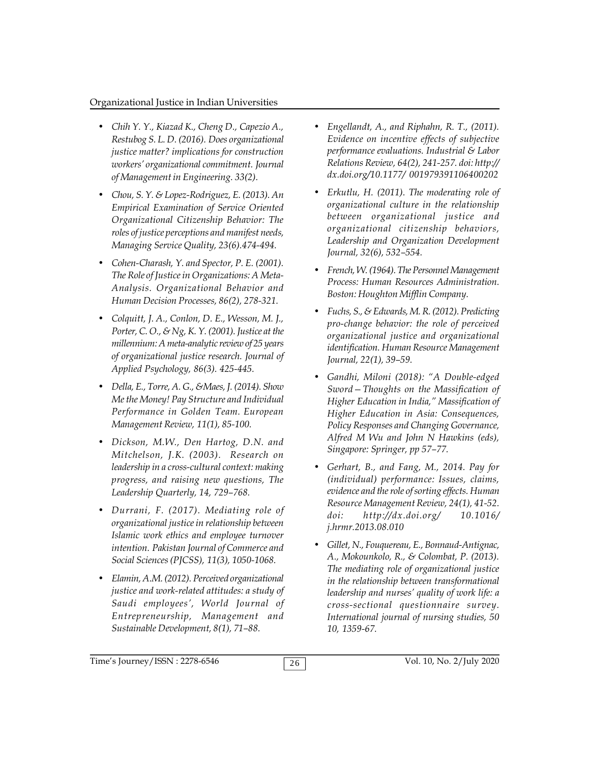- *Chih Y. Y., Kiazad K., Cheng D., Capezio A., Restubog S. L. D. (2016). Does organizational justice matter? implications for construction workers' organizational commitment. Journal of Management in Engineering. 33(2).*
- *Chou, S. Y. & Lopez-Rodriguez, E. (2013). An Empirical Examination of Service Oriented Organizational Citizenship Behavior: The roles of justice perceptions and manifest needs, Managing Service Quality, 23(6).474-494.*
- *Cohen-Charash, Y. and Spector, P. E. (2001). The Role of Justice in Organizations: A Meta-Analysis. Organizational Behavior and Human Decision Processes, 86(2), 278-321.*
- *Colquitt, J. A., Conlon, D. E., Wesson, M. J., Porter, C. O., & Ng, K. Y. (2001). Justice at the millennium: A meta-analytic review of 25 years of organizational justice research. Journal of Applied Psychology, 86(3). 425-445.*
- *Della, E., Torre, A. G., &Maes, J. (2014). Show Me the Money! Pay Structure and Individual Performance in Golden Team. European Management Review, 11(1), 85-100.*
- *Dickson, M.W., Den Hartog, D.N. and Mitchelson, J.K. (2003). Research on leadership in a cross-cultural context: making progress, and raising new questions, The Leadership Quarterly, 14, 729–768.*
- *Durrani, F. (2017). Mediating role of organizational justice in relationship between Islamic work ethics and employee turnover intention. Pakistan Journal of Commerce and Social Sciences (PJCSS), 11(3), 1050-1068.*
- *Elamin, A.M. (2012). Perceived organizational justice and work-related attitudes: a study of Saudi employees', World Journal of Entrepreneurship, Management and Sustainable Development, 8(1), 71–88.*
- *Engellandt, A., and Riphahn, R. T., (2011). Evidence on incentive effects of subjective performance evaluations. Industrial & Labor Relations Review, 64(2), 241-257. doi: http:// dx.doi.org/10.1177/ 001979391106400202*
- *Erkutlu, H. (2011). The moderating role of organizational culture in the relationship between organizational justice and organizational citizenship behaviors, Leadership and Organization Development Journal, 32(6), 532–554.*
- *French, W. (1964). The Personnel Management Process: Human Resources Administration. Boston: Houghton Mifflin Company.*
- *Fuchs, S., & Edwards, M. R. (2012). Predicting pro-change behavior: the role of perceived organizational justice and organizational identification. Human Resource Management Journal, 22(1), 39–59.*
- *Gandhi, Miloni (2018): "A Double-edged Sword—Thoughts on the Massification of Higher Education in India," Massification of Higher Education in Asia: Consequences, Policy Responses and Changing Governance, Alfred M Wu and John N Hawkins (eds), Singapore: Springer, pp 57–77.*
- *Gerhart, B., and Fang, M., 2014. Pay for (individual) performance: Issues, claims, evidence and the role of sorting effects. Human Resource Management Review, 24(1), 41-52. doi: http://dx.doi.org/ 10.1016/ j.hrmr.2013.08.010*
- *Gillet, N., Fouquereau, E., Bonnaud-Antignac, A., Mokounkolo, R., & Colombat, P. (2013). The mediating role of organizational justice in the relationship between transformational leadership and nurses' quality of work life: a cross-sectional questionnaire survey. International journal of nursing studies, 50 10, 1359-67.*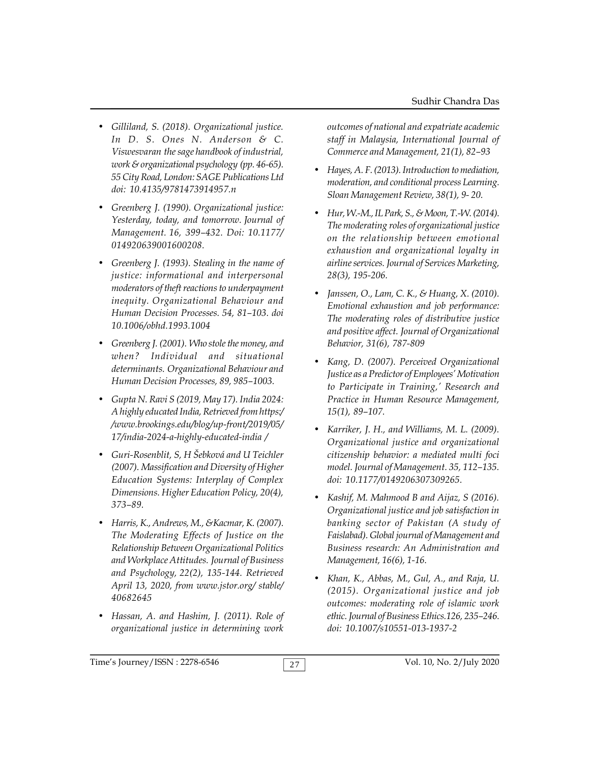- *Gilliland, S. (2018). Organizational justice. In D. S. Ones N. Anderson & C. Viswesvaran the sage handbook of industrial, work & organizational psychology (pp. 46-65). 55 City Road, London: SAGE Publications Ltd doi: 10.4135/9781473914957.n*
- *Greenberg J. (1990). Organizational justice: Yesterday, today, and tomorrow. Journal of Management. 16, 399–432. Doi: 10.1177/ 014920639001600208.*
- *Greenberg J. (1993). Stealing in the name of justice: informational and interpersonal moderators of theft reactions to underpayment inequity. Organizational Behaviour and Human Decision Processes. 54, 81–103. doi 10.1006/obhd.1993.1004*
- *Greenberg J. (2001). Who stole the money, and when? Individual and situational determinants. Organizational Behaviour and Human Decision Processes, 89, 985–1003.*
- *Gupta N. Ravi S (2019, May 17). India 2024: A highly educated India, Retrieved from https:/ /www.brookings.edu/blog/up-front/2019/05/ 17/india-2024-a-highly-educated-india /*
- *Guri-Rosenblit, S, H Šebková and U Teichler (2007). Massification and Diversity of Higher Education Systems: Interplay of Complex Dimensions. Higher Education Policy, 20(4), 373–89.*
- *Harris, K., Andrews, M., &Kacmar, K. (2007). The Moderating Effects of Justice on the Relationship Between Organizational Politics and Workplace Attitudes. Journal of Business and Psychology, 22(2), 135-144. Retrieved April 13, 2020, from www.jstor.org/ stable/ 40682645*
- *Hassan, A. and Hashim, J. (2011). Role of organizational justice in determining work*

*outcomes of national and expatriate academic staff in Malaysia, International Journal of Commerce and Management, 21(1), 82–93*

- *Hayes, A. F. (2013). Introduction to mediation, moderation, and conditional process Learning. Sloan Management Review, 38(1), 9- 20.*
- *Hur, W.-M., IL Park, S., & Moon, T.-W. (2014). The moderating roles of organizational justice on the relationship between emotional exhaustion and organizational loyalty in airline services. Journal of Services Marketing, 28(3), 195-206.*
- *Janssen, O., Lam, C. K., & Huang, X. (2010). Emotional exhaustion and job performance: The moderating roles of distributive justice and positive affect. Journal of Organizational Behavior, 31(6), 787-809*
- *Kang, D. (2007). Perceived Organizational Justice as a Predictor of Employees' Motivation to Participate in Training,' Research and Practice in Human Resource Management, 15(1), 89–107.*
- *Karriker, J. H., and Williams, M. L. (2009). Organizational justice and organizational citizenship behavior: a mediated multi foci model. Journal of Management. 35, 112–135. doi: 10.1177/0149206307309265.*
- *Kashif, M. Mahmood B and Aijaz, S (2016). Organizational justice and job satisfaction in banking sector of Pakistan (A study of Faislabad). Global journal of Management and Business research: An Administration and Management, 16(6), 1-16.*
- *Khan, K., Abbas, M., Gul, A., and Raja, U. (2015). Organizational justice and job outcomes: moderating role of islamic work ethic. Journal of Business Ethics.126, 235–246. doi: 10.1007/s10551-013-1937-2*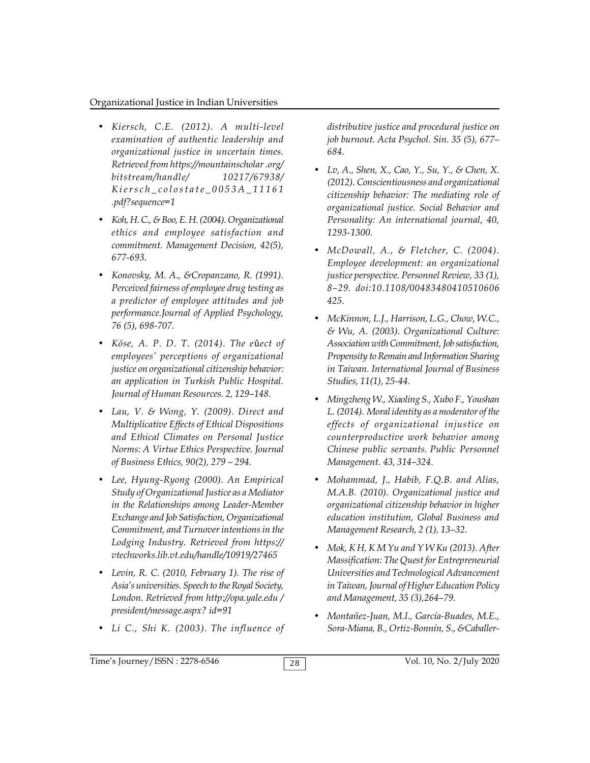- *Kiersch, C.E. (2012). A multi-level examination of authentic leadership and organizational justice in uncertain times. Retrieved from https://mountainscholar .org/ bitstream/handle/ 10217/67938/ Examination of authentic leadership and job burn*<br> *Simpanizational justice in uncertain times.*<br> *Ketrieved from https://mountainscholar .org/*<br> *Kiersch\_colostate\_0053A\_11161*<br> *Adf?sequence=1 colostate\_0053A\_11161 .pdf?sequence=1*
- *Koh, H. C., & Boo, E. H. (2004). Organizational ethics and employee satisfaction and commitment. Management Decision, 42(5), 677-693.*
- *Konovsky, M. A., &Cropanzano, R. (1991). Perceived fairness of employee drug testing as a predictor of employee attitudes and job performance.Journal of Applied Psychology, 76 (5), 698-707.*
- *Köse, A. P. D. T. (2014). The e*û*ect of employees' perceptions of organizational justice on organizational citizenship behavior: an application in Turkish Public Hospital. Journal of Human Resources. 2, 129–148.*
- *Lau, V. & Wong, Y. (2009). Direct and Multiplicative Effects of Ethical Dispositions and Ethical Climates on Personal Justice Norms: A Virtue Ethics Perspective. Journal of Business Ethics, 90(2), 279 – 294.*
- *Lee, Hyung-Ryong (2000). An Empirical Study of Organizational Justice as a Mediator in the Relationships among Leader-Member Exchange and Job Satisfaction, Organizational Commitment, and Turnover intentions in the Lodging Industry. Retrieved from https:// vtechworks.lib.vt.edu/handle/10919/27465*
- *Levin, R. C. (2010, February 1). The rise of Asia's universities. Speech to the Royal Society, London. Retrieved from http://opa.yale.edu / president/message.aspx? id=91*
- *Li C., Shi K. (2003). The influence of*

*distributive justice and procedural justice on job burnout. Acta Psychol. Sin. 35 (5), 677– 684.*

- *Lv, A., Shen, X., Cao, Y., Su, Y., & Chen, X. (2012). Conscientiousness and organizational citizenship behavior: The mediating role of organizational justice. Social Behavior and Personality: An international journal, 40, 1293-1300.*
- *McDowall, A., & Fletcher, C. (2004). Employee development: an organizational justice perspective. Personnel Review, 33 (1), 8–29. doi:10.1108/00483480410510606 425.*
- *McKinnon, L.J., Harrison, L.G., Chow, W.C., & Wu, A. (2003). Organizational Culture: Association with Commitment, Job satisfaction, Propensity to Remain and Information Sharing in Taiwan. International Journal of Business Studies, 11(1), 25-44.*
- *Mingzheng W., Xiaoling S., Xubo F., Youshan L. (2014). Moral identity as a moderator of the effects of organizational injustice on counterproductive work behavior among Chinese public servants. Public Personnel Management. 43, 314–324.*
- *Mohammad, J., Habib, F.Q.B. and Alias, M.A.B. (2010). Organizational justice and organizational citizenship behavior in higher education institution, Global Business and Management Research, 2 (1), 13–32.*
- *Mok, K H, K M Yu and Y W Ku (2013). After Massification: The Quest for Entrepreneurial Universities and Technological Advancement in Taiwan, Journal of Higher Education Policy and Management, 35 (3),264–79.*
- *Montañez-Juan, M.I., García-Buades, M.E., Sora-Miana, B., Ortiz-Bonnín, S., &Caballer-*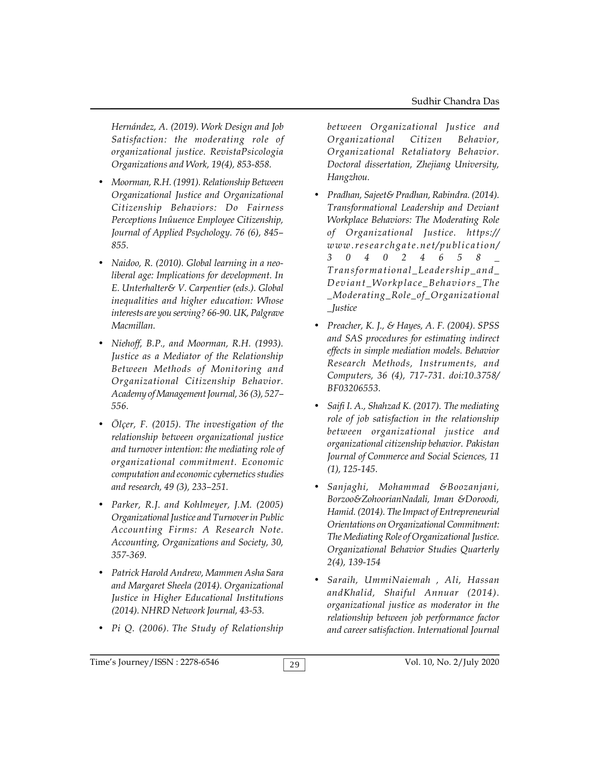*Hernández, A. (2019). Work Design and Job Satisfaction: the moderating role of organizational justice. RevistaPsicologia Organizations and Work, 19(4), 853-858.*

- *Moorman, R.H. (1991). Relationship Between Organizational Justice and Organizational Citizenship Behaviors: Do Fairness Perceptions Inûuence Employee Citizenship, Journal of Applied Psychology. 76 (6), 845– 855.*
- *Naidoo, R. (2010). Global learning in a neoliberal age: Implications for development. In E. Unterhalter& V. Carpentier (eds.). Global inequalities and higher education: Whose interests are you serving? 66-90. UK, Palgrave Macmillan.*
- *Niehoff, B.P., and Moorman, R.H. (1993). Justice as a Mediator of the Relationship Between Methods of Monitoring and Organizational Citizenship Behavior. Academy of Management Journal, 36 (3), 527– 556.*
- *Ölçer, F. (2015). The investigation of the relationship between organizational justice and turnover intention: the mediating role of organizational commitment. Economic computation and economic cybernetics studies and research, 49 (3), 233–251.*
- *Parker, R.J. and Kohlmeyer, J.M. (2005) Organizational Justice and Turnover in Public Accounting Firms: A Research Note. Accounting, Organizations and Society, 30, 357-369.*
- *Patrick Harold Andrew, Mammen Asha Sara and Margaret Sheela (2014). Organizational Justice in Higher Educational Institutions (2014). NHRD Network Journal, 43-53.*
- *Pi Q. (2006). The Study of Relationship*

*between Organizational Justice and Organizational Citizen Behavior, Organizational Retaliatory Behavior. Doctoral dissertation, Zhejiang University, Hangzhou.*

- *Pradhan, Sajeet& Pradhan, Rabindra. (2014). Transformational Leadership and Deviant Workplace Behaviors: The Moderating Role of Organizational Justice. https:// Pradhan, Sajeet& Pradhan, Rabindra. (2014).*<br>*Transformational Leadership and Deviant*<br>*Workplace Behaviors: The Moderating Role*<br>*of Organizational Justice. https://*<br>*www.researchgate.net/publication/*<br>3 0 4 0 2 4 6 5 8 *Transformational Leadership and Deviant*<br>*Workplace Behaviors: The Moderating Role*<br>of Organizational Justice. https://<br>www.researchgate.net/publication/<br>3 0 4 0 2 4 6 5 8 \_<br>Transformational\_Leadership\_and\_ *Transformationale.net/publication/*<br>
3 0 4 0 2 4 6 5 8<br> *Transformational\_Leadership\_and\_*<br> *Deviant\_Workplace\_Behaviors\_The of Organizational Justice. https://*<br>www.researchgate.net/publication/<br>3 0 4 0 2 4 6 5 8 \_<br>Transformational\_Leadership\_and\_<br>Deviant\_Workplace\_Behaviors\_The<br>\_Moderating\_Role\_of\_Organizational *\_Moderating\_Role\_of\_Organizational \_Justice*
- *Preacher, K. J., & Hayes, A. F. (2004). SPSS and SAS procedures for estimating indirect effects in simple mediation models. Behavior Research Methods, Instruments, and Computers, 36 (4), 717-731. doi:10.3758/ BF03206553.*
- *Saifi I. A., Shahzad K. (2017). The mediating role of job satisfaction in the relationship between organizational justice and organizational citizenship behavior. Pakistan Journal of Commerce and Social Sciences, 11 (1), 125-145.*
- *Sanjaghi, Mohammad &Boozanjani, Borzoo&ZohoorianNadali, Iman &Doroodi, Hamid. (2014). The Impact of Entrepreneurial Orientations on Organizational Commitment: The Mediating Role of Organizational Justice. Organizational Behavior Studies Quarterly 2(4), 139-154*
- *Saraih, UmmiNaiemah , Ali, Hassan andKhalid, Shaiful Annuar (2014). organizational justice as moderator in the relationship between job performance factor and career satisfaction. International Journal*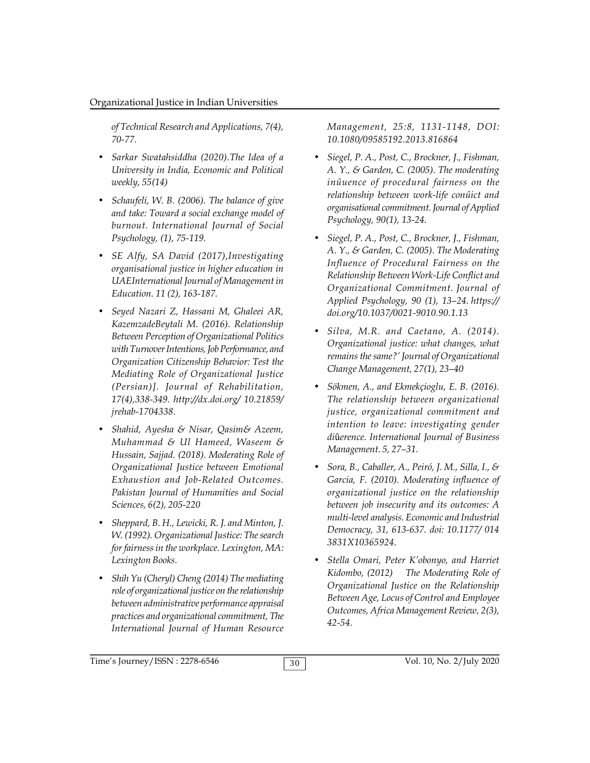*of Technical Research and Applications, 7(4), 70-77.*

- *Sarkar Swatahsiddha (2020).The Idea of a University in India, Economic and Political weekly, 55(14)*
- *Schaufeli, W. B. (2006). The balance of give and take: Toward a social exchange model of burnout. International Journal of Social Psychology, (1), 75-119.*
- *SE Alfy, SA David (2017),Investigating organisational justice in higher education in UAEInternational Journal of Management in Education. 11 (2), 163-187.*
- *Seyed Nazari Z, Hassani M, Ghaleei AR, KazemzadeBeytali M. (2016). Relationship Between Perception of Organizational Politics with Turnover Intentions, Job Performance, and Organization Citizenship Behavior: Test the Mediating Role of Organizational Justice (Persian)]. Journal of Rehabilitation, 17(4),338-349. http://dx.doi.org/ 10.21859/ jrehab-1704338.*
- *Shahid, Ayesha & Nisar, Qasim& Azeem, Muhammad & Ul Hameed, Waseem & Hussain, Sajjad. (2018). Moderating Role of Organizational Justice between Emotional Exhaustion and Job-Related Outcomes. Pakistan Journal of Humanities and Social Sciences, 6(2), 205-220*
- *Sheppard, B. H., Lewicki, R. J. and Minton, J. W. (1992). Organizational Justice: The search for fairness in the workplace. Lexington, MA: Lexington Books.*
- *Shih Yu (Cheryl) Cheng (2014) The mediating role of organizational justice on the relationship between administrative performance appraisal practices and organizational commitment, The International Journal of Human Resource*

*Management, 25:8, 1131-1148, DOI: 10.1080/09585192.2013.816864*

- *Siegel, P. A., Post, C., Brockner, J., Fishman, A. Y., & Garden, C. (2005). The moderating inûuence of procedural fairness on the relationship between work-life conûict and organisational commitment. Journal of Applied Psychology, 90(1), 13-24.*
- *Siegel, P. A., Post, C., Brockner, J., Fishman, A. Y., & Garden, C. (2005). The Moderating Influence of Procedural Fairness on the Relationship Between Work-Life Conflict and Organizational Commitment. Journal of Applied Psychology, 90 (1), 13–24. https:// doi.org/10.1037/0021-9010.90.1.13*
- *Silva, M.R. and Caetano, A. (2014). Organizational justice: what changes, what remains the same?' Journal of Organizational Change Management, 27(1), 23–40*
- *Sökmen, A., and Ekmekçioglu, E. B. (2016). The relationship between organizational justice, organizational commitment and intention to leave: investigating gender di*û*erence. International Journal of Business Management. 5, 27–31.*
- *Sora, B., Caballer, A., Peiró, J. M., Silla, I., & Garcia, F. (2010). Moderating influence of organizational justice on the relationship between job insecurity and its outcomes: A multi-level analysis. Economic and Industrial Democracy, 31, 613-637. doi: 10.1177/ 014 3831X10365924.*
- *Stella Omari, Peter K'obonyo, and Harriet Kidombo, (2012) The Moderating Role of Organizational Justice on the Relationship Between Age, Locus of Control and Employee Outcomes, Africa Management Review, 2(3), 42-54.*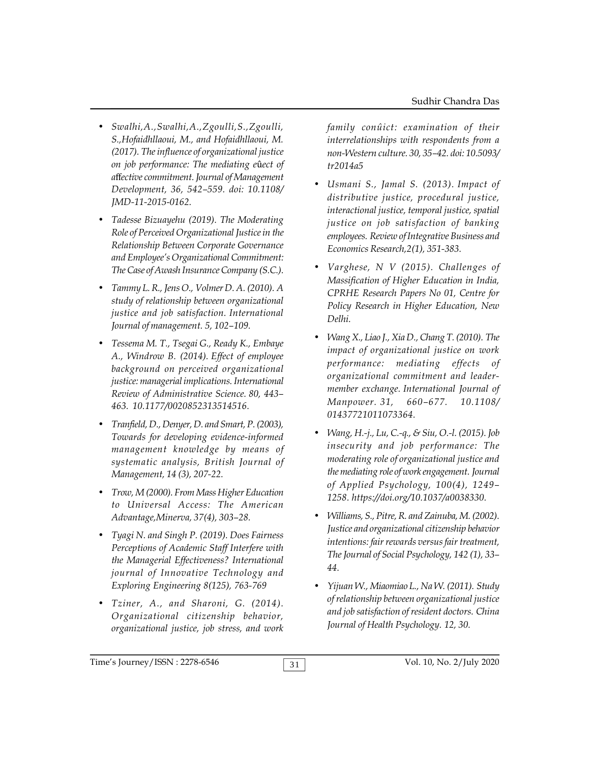- *Swalhi,A.,Swalhi,A.,Zgoulli,S.,Zgoulli, S.,Hofaidhllaoui, M., and Hofaidhllaoui, M. (2017). The influence of organizational justice on job performance: The mediating e*û*ect of a*ff*ective commitment. Journal of Management Development, 36, 542–559. doi: 10.1108/ JMD-11-2015-0162.*
- *Tadesse Bizuayehu (2019). The Moderating Role of Perceived Organizational Justice in the Relationship Between Corporate Governance and Employee's Organizational Commitment: The Case of Awash Insurance Company (S.C.).*
- *Tammy L. R., Jens O., Volmer D. A. (2010). A study of relationship between organizational justice and job satisfaction. International Journal of management. 5, 102–109.*
- *Tessema M. T., Tsegai G., Ready K., Embaye A., Windrow B. (2014). Effect of employee background on perceived organizational justice: managerial implications. International Review of Administrative Science. 80, 443– 463. 10.1177/0020852313514516.*
- *Tranfield, D., Denyer, D. and Smart, P. (2003), Towards for developing evidence-informed management knowledge by means of systematic analysis, British Journal of Management, 14 (3), 207-22.*
- *Trow, M (2000). From Mass Higher Education to Universal Access: The American Advantage,Minerva, 37(4), 303–28.*
- *Tyagi N. and Singh P. (2019). Does Fairness Perceptions of Academic Staff Interfere with the Managerial Effectiveness? International journal of Innovative Technology and Exploring Engineering 8(125), 763-769*
- *Tziner, A., and Sharoni, G. (2014). Organizational citizenship behavior, organizational justice, job stress, and work*

*family conûict: examination of their interrelationships with respondents from a non-Western culture. 30, 35–42. doi: 10.5093/ tr2014a5*

- *Usmani S., Jamal S. (2013). Impact of distributive justice, procedural justice, interactional justice, temporal justice, spatial justice on job satisfaction of banking employees. Review of Integrative Business and Economics Research,2(1), 351-383.*
- *Varghese, N V (2015). Challenges of Massification of Higher Education in India, CPRHE Research Papers No 01, Centre for Policy Research in Higher Education, New Delhi.*
- *Wang X., Liao J., Xia D., Chang T. (2010). The impact of organizational justice on work performance: mediating effects of organizational commitment and leadermember exchange. International Journal of Manpower. 31, 660–677. 10.1108/ 01437721011073364.*
- *Wang, H.-j., Lu, C.-q., & Siu, O.-l. (2015). Job insecurity and job performance: The moderating role of organizational justice and the mediating role of work engagement. Journal of Applied Psychology, 100(4), 1249– 1258. https://doi.org/10.1037/a0038330.*
- *Williams, S., Pitre, R. and Zainuba, M. (2002). Justice and organizational citizenship behavior intentions: fair rewards versus fair treatment, The Journal of Social Psychology, 142 (1), 33– 44.*
- *Yijuan W., Miaomiao L., Na W. (2011). Study of relationship between organizational justice and job satisfaction of resident doctors. China Journal of Health Psychology. 12, 30.*